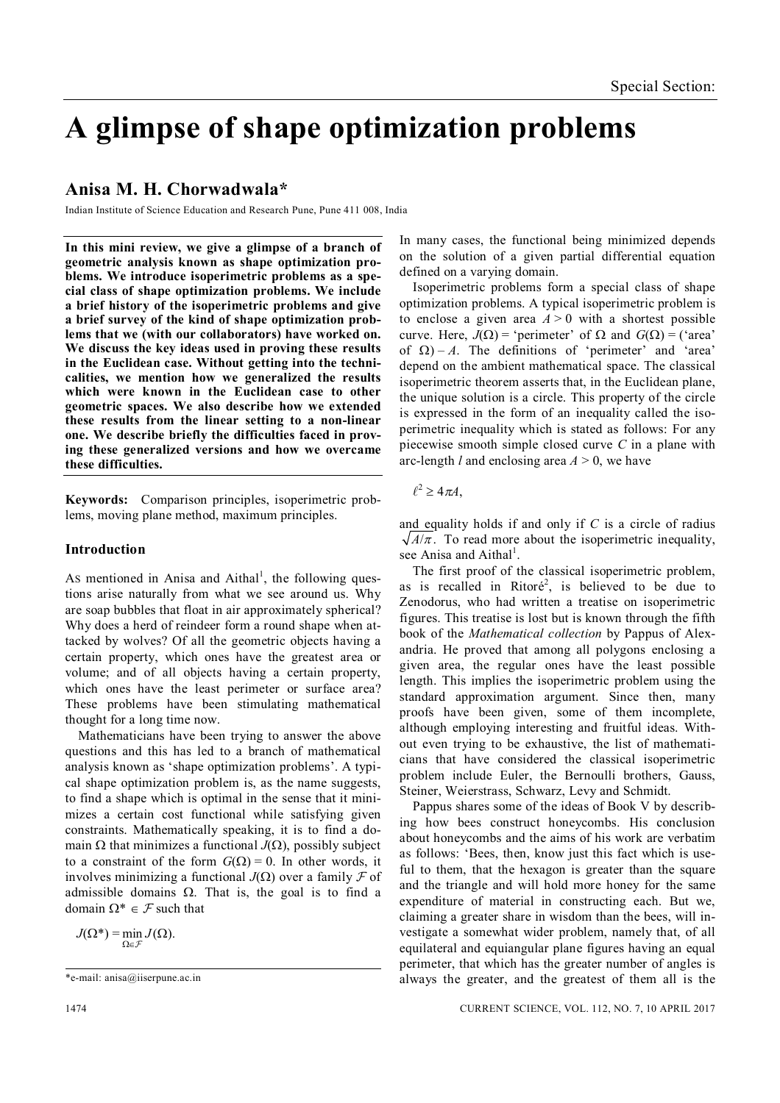# **A glimpse of shape optimization problems**

## **Anisa M. H. Chorwadwala\***

Indian Institute of Science Education and Research Pune, Pune 411 008, India

**In this mini review, we give a glimpse of a branch of geometric analysis known as shape optimization problems. We introduce isoperimetric problems as a special class of shape optimization problems. We include a brief history of the isoperimetric problems and give a brief survey of the kind of shape optimization problems that we (with our collaborators) have worked on. We discuss the key ideas used in proving these results in the Euclidean case. Without getting into the technicalities, we mention how we generalized the results which were known in the Euclidean case to other geometric spaces. We also describe how we extended these results from the linear setting to a non-linear one. We describe briefly the difficulties faced in proving these generalized versions and how we overcame these difficulties.**

**Keywords:** Comparison principles, isoperimetric problems, moving plane method, maximum principles.

## **Introduction**

As mentioned in Anisa and Aithal<sup>1</sup>, the following questions arise naturally from what we see around us. Why are soap bubbles that float in air approximately spherical? Why does a herd of reindeer form a round shape when attacked by wolves? Of all the geometric objects having a certain property, which ones have the greatest area or volume; and of all objects having a certain property, which ones have the least perimeter or surface area? These problems have been stimulating mathematical thought for a long time now.

Mathematicians have been trying to answer the above questions and this has led to a branch of mathematical analysis known as 'shape optimization problems'. A typical shape optimization problem is, as the name suggests, to find a shape which is optimal in the sense that it minimizes a certain cost functional while satisfying given constraints. Mathematically speaking, it is to find a domain  $\Omega$  that minimizes a functional *J*( $\Omega$ ), possibly subject to a constraint of the form  $G(\Omega) = 0$ . In other words, it involves minimizing a functional  $J(\Omega)$  over a family  $\mathcal F$  of admissible domains  $\Omega$ . That is, the goal is to find a domain  $\Omega^* \in \mathcal{F}$  such that

 $J(\Omega^*) = \min J(\Omega)$ .  $\Omega \in \mathcal{F}$ 

Pappus shares some of the ideas of Book V by describing how bees construct honeycombs. His conclusion about honeycombs and the aims of his work are verbatim as follows: 'Bees, then, know just this fact which is useful to them, that the hexagon is greater than the square and the triangle and will hold more honey for the same expenditure of material in constructing each. But we, claiming a greater share in wisdom than the bees, will investigate a somewhat wider problem, namely that, of all equilateral and equiangular plane figures having an equal perimeter, that which has the greater number of angles is always the greater, and the greatest of them all is the

## In many cases, the functional being minimized depends on the solution of a given partial differential equation defined on a varying domain.

Isoperimetric problems form a special class of shape optimization problems. A typical isoperimetric problem is to enclose a given area  $A > 0$  with a shortest possible curve. Here,  $J(\Omega)$  = 'perimeter' of  $\Omega$  and  $G(\Omega)$  = ('area' of  $\Omega$ ) – *A*. The definitions of 'perimeter' and 'area' depend on the ambient mathematical space. The classical isoperimetric theorem asserts that, in the Euclidean plane, the unique solution is a circle. This property of the circle is expressed in the form of an inequality called the isoperimetric inequality which is stated as follows: For any piecewise smooth simple closed curve *C* in a plane with arc-length *l* and enclosing area  $A > 0$ , we have

 $\ell^2 \geq 4\pi A,$ 

and equality holds if and only if *C* is a circle of radius  $\sqrt{A/\pi}$ . To read more about the isoperimetric inequality, see Anisa and Aithal<sup>1</sup>.

The first proof of the classical isoperimetric problem, as is recalled in Ritoré<sup>2</sup>, is believed to be due to Zenodorus, who had written a treatise on isoperimetric figures. This treatise is lost but is known through the fifth book of the *Mathematical collection* by Pappus of Alexandria. He proved that among all polygons enclosing a given area, the regular ones have the least possible length. This implies the isoperimetric problem using the standard approximation argument. Since then, many proofs have been given, some of them incomplete, although employing interesting and fruitful ideas. Without even trying to be exhaustive, the list of mathematicians that have considered the classical isoperimetric problem include Euler, the Bernoulli brothers, Gauss, Steiner, Weierstrass, Schwarz, Levy and Schmidt.

<sup>\*</sup>e-mail: anisa@iiserpune.ac.in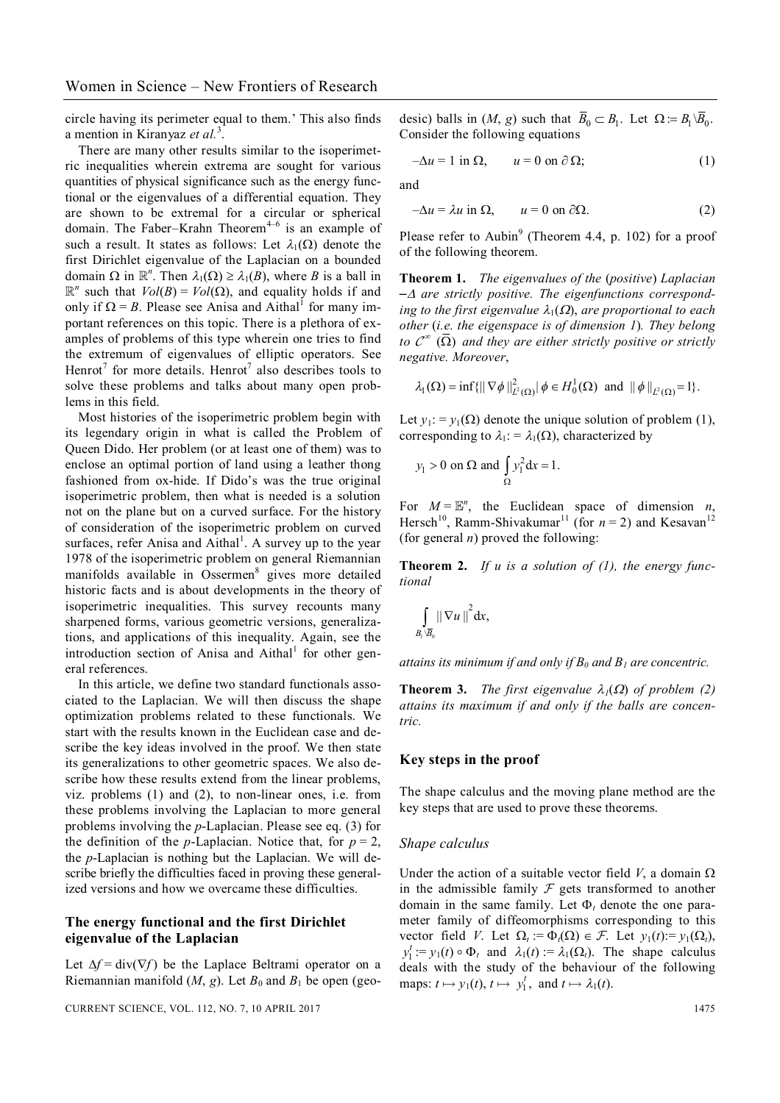circle having its perimeter equal to them.' This also finds a mention in Kiranyaz et al.<sup>3</sup>.

There are many other results similar to the isoperimetric inequalities wherein extrema are sought for various quantities of physical significance such as the energy functional or the eigenvalues of a differential equation. They are shown to be extremal for a circular or spherical domain. The Faber–Krahn Theorem<sup>4–6</sup> is an example of such a result. It states as follows: Let  $\lambda_1(\Omega)$  denote the first Dirichlet eigenvalue of the Laplacian on a bounded domain  $\Omega$  in  $\mathbb{R}^n$ . Then  $\lambda_1(\Omega) \geq \lambda_1(B)$ , where *B* is a ball in  $\mathbb{R}^n$  such that  $Vol(B) = Vol(\Omega)$ , and equality holds if and only if  $\Omega = B$ . Please see Anisa and Aithal<sup>1</sup> for many important references on this topic. There is a plethora of examples of problems of this type wherein one tries to find the extremum of eigenvalues of elliptic operators. See Henrot<sup>7</sup> for more details. Henrot<sup>7</sup> also describes tools to solve these problems and talks about many open problems in this field.

Most histories of the isoperimetric problem begin with its legendary origin in what is called the Problem of Queen Dido. Her problem (or at least one of them) was to enclose an optimal portion of land using a leather thong fashioned from ox-hide. If Dido's was the true original isoperimetric problem, then what is needed is a solution not on the plane but on a curved surface. For the history of consideration of the isoperimetric problem on curved surfaces, refer Anisa and Aithal<sup>1</sup>. A survey up to the year 1978 of the isoperimetric problem on general Riemannian manifolds available in Ossermen<sup>8</sup> gives more detailed historic facts and is about developments in the theory of isoperimetric inequalities. This survey recounts many sharpened forms, various geometric versions, generalizations, and applications of this inequality. Again, see the introduction section of Anisa and Aithal<sup>1</sup> for other general references.

In this article, we define two standard functionals associated to the Laplacian. We will then discuss the shape optimization problems related to these functionals. We start with the results known in the Euclidean case and describe the key ideas involved in the proof. We then state its generalizations to other geometric spaces. We also describe how these results extend from the linear problems, viz. problems (1) and (2), to non-linear ones, i.e. from these problems involving the Laplacian to more general problems involving the *p*-Laplacian. Please see eq. (3) for the definition of the *p*-Laplacian. Notice that, for  $p = 2$ , the *p*-Laplacian is nothing but the Laplacian. We will describe briefly the difficulties faced in proving these generalized versions and how we overcame these difficulties.

## **The energy functional and the first Dirichlet eigenvalue of the Laplacian**

Let  $\Delta f = \text{div}(\nabla f)$  be the Laplace Beltrami operator on a Riemannian manifold  $(M, g)$ . Let  $B_0$  and  $B_1$  be open (geo-

desic) balls in  $(M, g)$  such that  $\overline{B}_0 \subset B_1$ . Let  $\Omega := B_1 \setminus \overline{B}_0$ . Consider the following equations

$$
-\Delta u = 1 \text{ in } \Omega, \qquad u = 0 \text{ on } \partial \Omega; \tag{1}
$$

and

$$
-\Delta u = \lambda u \text{ in } \Omega, \qquad u = 0 \text{ on } \partial\Omega. \tag{2}
$$

Please refer to Aubin<sup>9</sup> (Theorem 4.4, p. 102) for a proof of the following theorem.

**Theorem 1.** *The eigenvalues of the* (*positive*) *Laplacian – are strictly positive. The eigenfunctions corresponding to the first eigenvalue*  $\lambda_1(\Omega)$ *, are proportional to each other* (*i.e. the eigenspace is of dimension 1*)*. They belong to*  $\mathcal{C}^{\infty}$  ( $\Omega$ ) and they are either strictly positive or strictly *negative. Moreover*,

$$
\lambda_1(\Omega) = \inf \{ || \nabla \phi ||^2_{L^2(\Omega)} | \phi \in H_0^1(\Omega) \text{ and } || \phi ||_{L^2(\Omega)} = 1 \}.
$$

Let  $y_1$ : =  $y_1(\Omega)$  denote the unique solution of problem (1), corresponding to  $\lambda_1$ : =  $\lambda_1(\Omega)$ , characterized by

$$
y_1 > 0
$$
 on  $\Omega$  and  $\int_{\Omega} y_1^2 dx = 1$ .

For  $M = \mathbb{E}^n$ , the Euclidean space of dimension *n*, Hersch<sup>10</sup>, Ramm-Shivakumar<sup>11</sup> (for  $n = 2$ ) and Kesavan<sup>12</sup> (for general *n*) proved the following:

**Theorem 2.** *If u is a solution of (1), the energy functional*

$$
\int\limits_{B_1\setminus \overline{B}_0} \left\|\,\nabla u\,\right\|^2 \mathrm{d} x,
$$

*attains its minimum if and only if*  $B_0$  *and*  $B_1$  *are concentric.* 

**Theorem 3.** *The first eigenvalue*  $\lambda_1(\Omega)$  *of problem* (2) *attains its maximum if and only if the balls are concentric.*

#### **Key steps in the proof**

The shape calculus and the moving plane method are the key steps that are used to prove these theorems.

#### *Shape calculus*

Under the action of a suitable vector field  $V$ , a domain  $\Omega$ in the admissible family  $\mathcal F$  gets transformed to another domain in the same family. Let  $\Phi_t$  denote the one parameter family of diffeomorphisms corresponding to this vector field *V*. Let  $\Omega_t := \Phi_t(\Omega) \in \mathcal{F}$ . Let  $y_1(t) := y_1(\Omega_t)$ ,  $y_1^t := y_1(t) \circ \Phi_t$  and  $\lambda_1(t) := \lambda_1(\Omega_t)$ . The shape calculus deals with the study of the behaviour of the following maps:  $t \mapsto y_1(t)$ ,  $t \mapsto y_1^t$ , and  $t \mapsto \lambda_1(t)$ .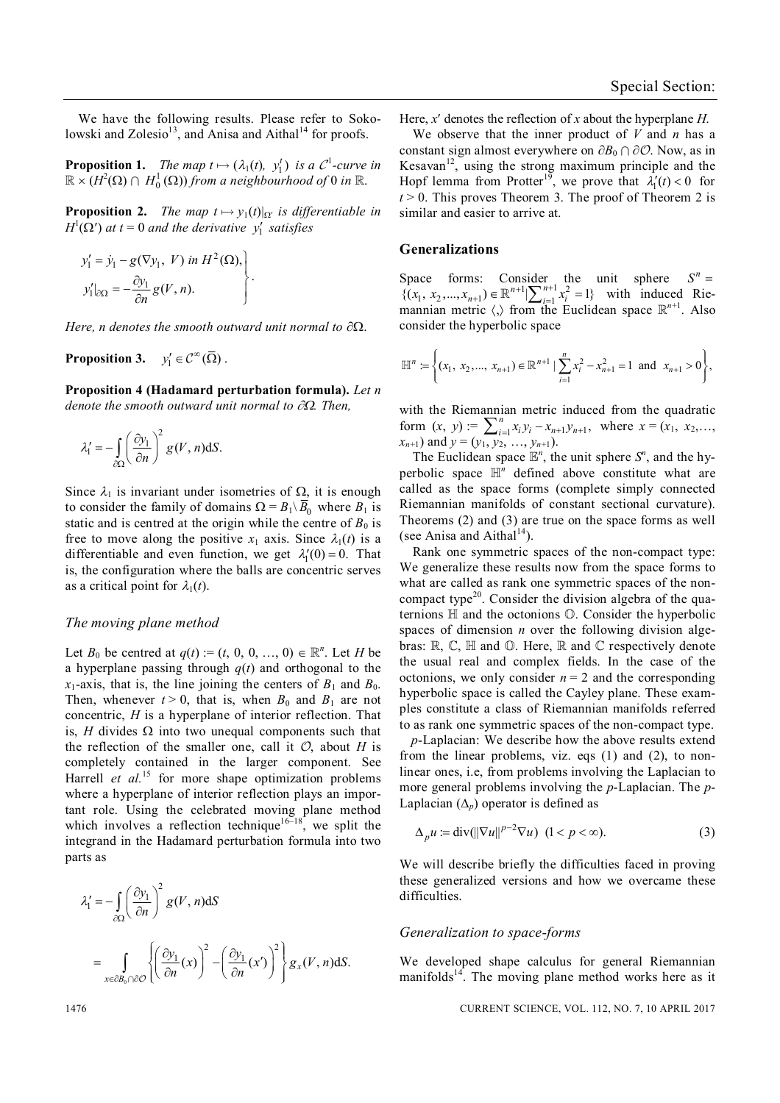We have the following results. Please refer to Sokolowski and Zolesio<sup>13</sup>, and Anisa and Aithal<sup>14</sup> for proofs.

**Proposition 1.** *The map*  $t \mapsto (\lambda_1(t), y_1^t)$  *is a*  $C^1$ -curve *in*  $\mathbb{R}\times (H^2(\Omega)\cap H^1_0(\Omega))$  from a neighbourhood of 0 in  $\mathbb{R}.$ 

**Proposition 2.** *The map*  $t \mapsto y_1(t)|_{\Omega}$  *is differentiable in*  $H^1(\Omega)$  *at*  $t = 0$  *and the derivative*  $y'_1$  *satisfies* 

.

$$
y'_{1} = \dot{y}_{1} - g(\nabla y_{1}, V) \text{ in } H^{2}(\Omega),
$$
  

$$
y'_{1}|_{\partial\Omega} = -\frac{\partial y_{1}}{\partial n} g(V, n).
$$

*Here, n denotes the smooth outward unit normal to*  $\partial\Omega$ *.* 

**Proposition 3.**  $y'_1 \in C^\infty(\overline{\Omega})$ .

**Proposition 4 (Hadamard perturbation formula).** *Let n denote the smooth outward unit normal to*  $\partial\Omega$ *. Then,* 

$$
\lambda_1' = -\int_{\partial\Omega} \left(\frac{\partial y_1}{\partial n}\right)^2 g(V, n) dS.
$$

Since  $\lambda_1$  is invariant under isometries of  $\Omega$ , it is enough to consider the family of domains  $\Omega = B_1 \setminus \overline{B_0}$  where  $B_1$  is static and is centred at the origin while the centre of  $B_0$  is free to move along the positive  $x_1$  axis. Since  $\lambda_1(t)$  is a differentiable and even function, we get  $\lambda_1'(0) = 0$ . That is, the configuration where the balls are concentric serves as a critical point for  $\lambda_1(t)$ .

### *The moving plane method*

Let *B*<sup>0</sup> be centred at  $q(t) := (t, 0, 0, ..., 0) \in \mathbb{R}^n$ . Let *H* be a hyperplane passing through *q*(*t*) and orthogonal to the  $x_1$ -axis, that is, the line joining the centers of  $B_1$  and  $B_0$ . Then, whenever  $t > 0$ , that is, when  $B_0$  and  $B_1$  are not concentric, *H* is a hyperplane of interior reflection. That is, *H* divides  $\Omega$  into two unequal components such that the reflection of the smaller one, call it  $\mathcal{O}$ , about *H* is completely contained in the larger component. See Harrell *et al.*<sup>15</sup> for more shape optimization problems where a hyperplane of interior reflection plays an important role. Using the celebrated moving plane method which involves a reflection technique<sup>16–18</sup>, we split the integrand in the Hadamard perturbation formula into two parts as

$$
\lambda_1' = -\int_{\partial\Omega} \left(\frac{\partial y_1}{\partial n}\right)^2 g(V, n) dS
$$
  
= 
$$
\int_{x \in \partial B_0 \cap \partial \mathcal{O}} \left\{ \left(\frac{\partial y_1}{\partial n}(x)\right)^2 - \left(\frac{\partial y_1}{\partial n}(x')\right)^2 \right\} g_x(V, n) dS.
$$

Here, *x* denotes the reflection of *x* about the hyperplane *H*.

We observe that the inner product of *V* and *n* has a constant sign almost everywhere on  $\partial B_0 \cap \partial \mathcal{O}$ . Now, as in Kesavan<sup>12</sup>, using the strong maximum principle and the Hopf lemma from Protter<sup>19</sup>, we prove that  $\lambda'_1(t) < 0$  for  $t > 0$ . This proves Theorem 3. The proof of Theorem 2 is similar and easier to arrive at.

#### **Generalizations**

Space forms: Consider the unit sphere  $S^n =$ <br> $S(x, x, y) \in \mathbb{R}^{n+1} \setminus \mathbb{R}^{n+1} \times \mathbb{R}^{2} = 1$  with induced Rie  $\{(x_1, x_2,...,x_{n+1}) \in \mathbb{R}^{n+1} \mid \sum_{i=1}^{n+1} x_i^2 = 1\}$  $(u_{i+1}) \in \mathbb{R}^{n+1} \setminus \sum_{i=1}^{n+1} x_i^2 = 1$  with induced Riemannian metric  $\langle \cdot \rangle$  from the Euclidean space  $\mathbb{R}^{n+1}$ . Also consider the hyperbolic space

$$
\mathbb{H}^n := \left\{ (x_1, x_2, ..., x_{n+1}) \in \mathbb{R}^{n+1} \mid \sum_{i=1}^n x_i^2 - x_{n+1}^2 = 1 \text{ and } x_{n+1} > 0 \right\},\
$$

with the Riemannian metric induced from the quadratic form  $(x, y) := \sum_{i=1}^{n} x_i y_i - x_{n+1} y_{n+1}$ ,  $\sum_{i=1}^{n} x_i y_i - x_{n+1} y_{n+1}$ , where  $x = (x_1, x_2,...,$  $(x_{n+1})$  and  $y = (y_1, y_2, ..., y_{n+1})$ .

The Euclidean space  $\mathbb{E}^n$ , the unit sphere  $S^n$ , and the hyperbolic space  $\mathbb{H}^n$  defined above constitute what are called as the space forms (complete simply connected Riemannian manifolds of constant sectional curvature). Theorems (2) and (3) are true on the space forms as well (see Anisa and Aithal<sup>14</sup>).

Rank one symmetric spaces of the non-compact type: We generalize these results now from the space forms to what are called as rank one symmetric spaces of the noncompact type<sup>20</sup>. Consider the division algebra of the quaternions  $\mathbb H$  and the octonions  $\mathbb O$ . Consider the hyperbolic spaces of dimension *n* over the following division algebras:  $\mathbb{R}, \mathbb{C}, \mathbb{H}$  and  $\mathbb{O}$ . Here,  $\mathbb{R}$  and  $\mathbb{C}$  respectively denote the usual real and complex fields. In the case of the octonions, we only consider  $n = 2$  and the corresponding hyperbolic space is called the Cayley plane. These examples constitute a class of Riemannian manifolds referred to as rank one symmetric spaces of the non-compact type.

*p*-Laplacian: We describe how the above results extend from the linear problems, viz. eqs (1) and (2), to nonlinear ones, i.e, from problems involving the Laplacian to more general problems involving the *p*-Laplacian. The *p*-Laplacian  $(\Delta_n)$  operator is defined as

$$
\Delta_p u := \text{div}(\|\nabla u\|^{p-2} \nabla u) \ (1 < p < \infty). \tag{3}
$$

We will describe briefly the difficulties faced in proving these generalized versions and how we overcame these difficulties.

#### *Generalization to space-forms*

We developed shape calculus for general Riemannian manifolds<sup>14</sup>. The moving plane method works here as it